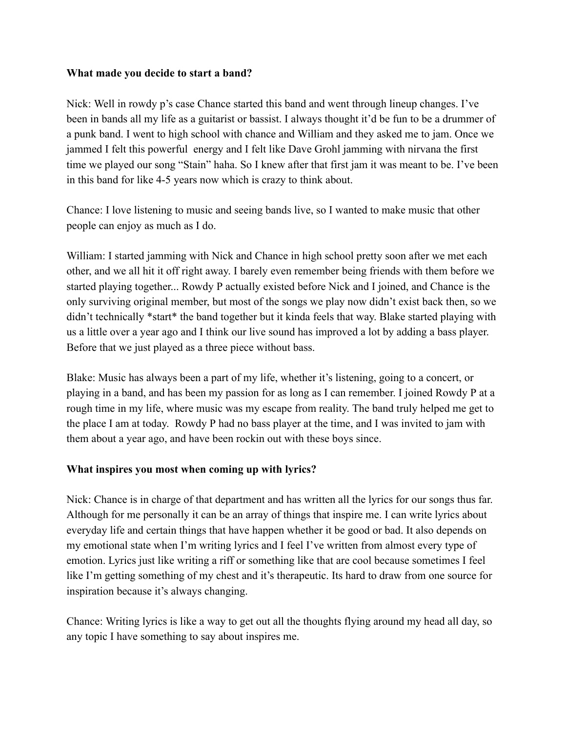#### **What made you decide to start a band?**

Nick: Well in rowdy p's case Chance started this band and went through lineup changes. I've been in bands all my life as a guitarist or bassist. I always thought it'd be fun to be a drummer of a punk band. I went to high school with chance and William and they asked me to jam. Once we jammed I felt this powerful energy and I felt like Dave Grohl jamming with nirvana the first time we played our song "Stain" haha. So I knew after that first jam it was meant to be. I've been in this band for like 4-5 years now which is crazy to think about.

Chance: I love listening to music and seeing bands live, so I wanted to make music that other people can enjoy as much as I do.

William: I started jamming with Nick and Chance in high school pretty soon after we met each other, and we all hit it off right away. I barely even remember being friends with them before we started playing together... Rowdy P actually existed before Nick and I joined, and Chance is the only surviving original member, but most of the songs we play now didn't exist back then, so we didn't technically \*start\* the band together but it kinda feels that way. Blake started playing with us a little over a year ago and I think our live sound has improved a lot by adding a bass player. Before that we just played as a three piece without bass.

Blake: Music has always been a part of my life, whether it's listening, going to a concert, or playing in a band, and has been my passion for as long as I can remember. I joined Rowdy P at a rough time in my life, where music was my escape from reality. The band truly helped me get to the place I am at today. Rowdy P had no bass player at the time, and I was invited to jam with them about a year ago, and have been rockin out with these boys since.

### **What inspires you most when coming up with lyrics?**

Nick: Chance is in charge of that department and has written all the lyrics for our songs thus far. Although for me personally it can be an array of things that inspire me. I can write lyrics about everyday life and certain things that have happen whether it be good or bad. It also depends on my emotional state when I'm writing lyrics and I feel I've written from almost every type of emotion. Lyrics just like writing a riff or something like that are cool because sometimes I feel like I'm getting something of my chest and it's therapeutic. Its hard to draw from one source for inspiration because it's always changing.

Chance: Writing lyrics is like a way to get out all the thoughts flying around my head all day, so any topic I have something to say about inspires me.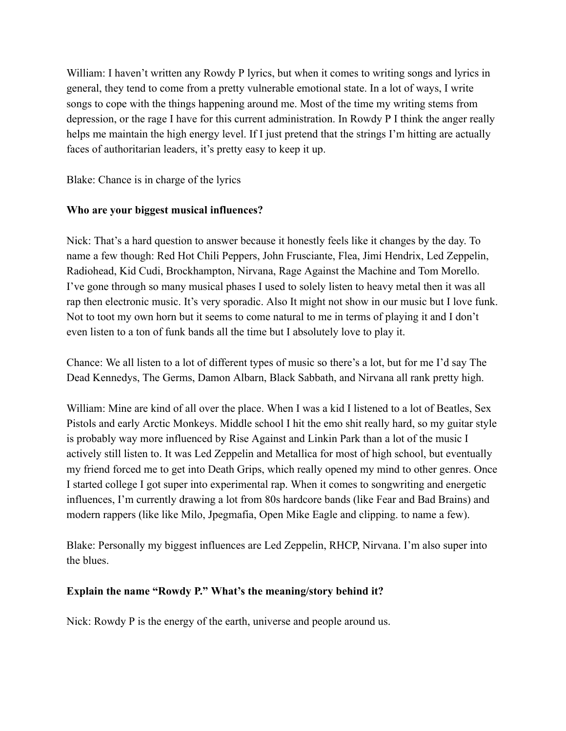William: I haven't written any Rowdy P lyrics, but when it comes to writing songs and lyrics in general, they tend to come from a pretty vulnerable emotional state. In a lot of ways, I write songs to cope with the things happening around me. Most of the time my writing stems from depression, or the rage I have for this current administration. In Rowdy P I think the anger really helps me maintain the high energy level. If I just pretend that the strings I'm hitting are actually faces of authoritarian leaders, it's pretty easy to keep it up.

Blake: Chance is in charge of the lyrics

# **Who are your biggest musical influences?**

Nick: That's a hard question to answer because it honestly feels like it changes by the day. To name a few though: Red Hot Chili Peppers, John Frusciante, Flea, Jimi Hendrix, Led Zeppelin, Radiohead, Kid Cudi, Brockhampton, Nirvana, Rage Against the Machine and Tom Morello. I've gone through so many musical phases I used to solely listen to heavy metal then it was all rap then electronic music. It's very sporadic. Also It might not show in our music but I love funk. Not to toot my own horn but it seems to come natural to me in terms of playing it and I don't even listen to a ton of funk bands all the time but I absolutely love to play it.

Chance: We all listen to a lot of different types of music so there's a lot, but for me I'd say The Dead Kennedys, The Germs, Damon Albarn, Black Sabbath, and Nirvana all rank pretty high.

William: Mine are kind of all over the place. When I was a kid I listened to a lot of Beatles, Sex Pistols and early Arctic Monkeys. Middle school I hit the emo shit really hard, so my guitar style is probably way more influenced by Rise Against and Linkin Park than a lot of the music I actively still listen to. It was Led Zeppelin and Metallica for most of high school, but eventually my friend forced me to get into Death Grips, which really opened my mind to other genres. Once I started college I got super into experimental rap. When it comes to songwriting and energetic influences, I'm currently drawing a lot from 80s hardcore bands (like Fear and Bad Brains) and modern rappers (like like Milo, Jpegmafia, Open Mike Eagle and clipping. to name a few).

Blake: Personally my biggest influences are Led Zeppelin, RHCP, Nirvana. I'm also super into the blues.

# **Explain the name "Rowdy P." What's the meaning/story behind it?**

Nick: Rowdy P is the energy of the earth, universe and people around us.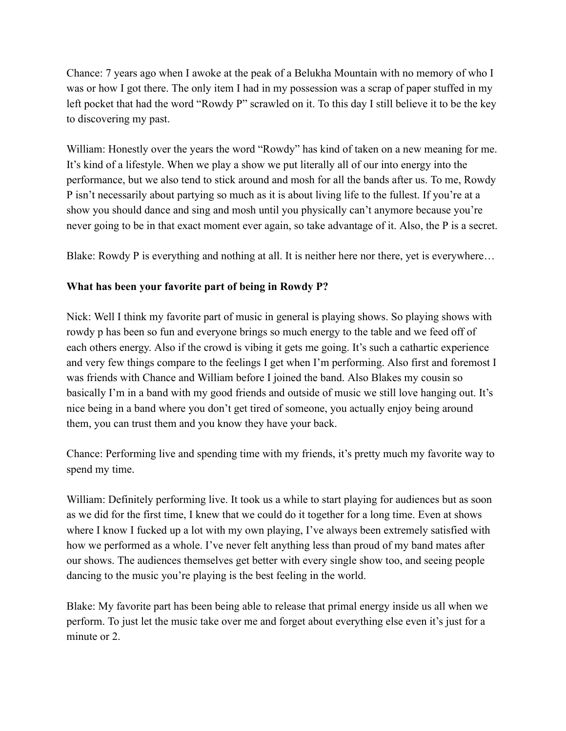Chance: 7 years ago when I awoke at the peak of a Belukha Mountain with no memory of who I was or how I got there. The only item I had in my possession was a scrap of paper stuffed in my left pocket that had the word "Rowdy P" scrawled on it. To this day I still believe it to be the key to discovering my past.

William: Honestly over the years the word "Rowdy" has kind of taken on a new meaning for me. It's kind of a lifestyle. When we play a show we put literally all of our into energy into the performance, but we also tend to stick around and mosh for all the bands after us. To me, Rowdy P isn't necessarily about partying so much as it is about living life to the fullest. If you're at a show you should dance and sing and mosh until you physically can't anymore because you're never going to be in that exact moment ever again, so take advantage of it. Also, the P is a secret.

Blake: Rowdy P is everything and nothing at all. It is neither here nor there, yet is everywhere...

# **What has been your favorite part of being in Rowdy P?**

Nick: Well I think my favorite part of music in general is playing shows. So playing shows with rowdy p has been so fun and everyone brings so much energy to the table and we feed off of each others energy. Also if the crowd is vibing it gets me going. It's such a cathartic experience and very few things compare to the feelings I get when I'm performing. Also first and foremost I was friends with Chance and William before I joined the band. Also Blakes my cousin so basically I'm in a band with my good friends and outside of music we still love hanging out. It's nice being in a band where you don't get tired of someone, you actually enjoy being around them, you can trust them and you know they have your back.

Chance: Performing live and spending time with my friends, it's pretty much my favorite way to spend my time.

William: Definitely performing live. It took us a while to start playing for audiences but as soon as we did for the first time, I knew that we could do it together for a long time. Even at shows where I know I fucked up a lot with my own playing, I've always been extremely satisfied with how we performed as a whole. I've never felt anything less than proud of my band mates after our shows. The audiences themselves get better with every single show too, and seeing people dancing to the music you're playing is the best feeling in the world.

Blake: My favorite part has been being able to release that primal energy inside us all when we perform. To just let the music take over me and forget about everything else even it's just for a minute or 2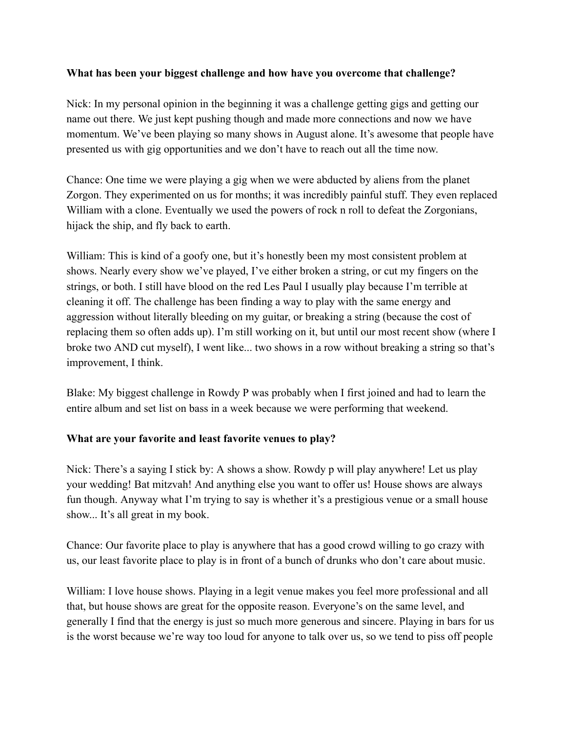#### **What has been your biggest challenge and how have you overcome that challenge?**

Nick: In my personal opinion in the beginning it was a challenge getting gigs and getting our name out there. We just kept pushing though and made more connections and now we have momentum. We've been playing so many shows in August alone. It's awesome that people have presented us with gig opportunities and we don't have to reach out all the time now.

Chance: One time we were playing a gig when we were abducted by aliens from the planet Zorgon. They experimented on us for months; it was incredibly painful stuff. They even replaced William with a clone. Eventually we used the powers of rock n roll to defeat the Zorgonians, hijack the ship, and fly back to earth.

William: This is kind of a goofy one, but it's honestly been my most consistent problem at shows. Nearly every show we've played, I've either broken a string, or cut my fingers on the strings, or both. I still have blood on the red Les Paul I usually play because I'm terrible at cleaning it off. The challenge has been finding a way to play with the same energy and aggression without literally bleeding on my guitar, or breaking a string (because the cost of replacing them so often adds up). I'm still working on it, but until our most recent show (where I broke two AND cut myself), I went like... two shows in a row without breaking a string so that's improvement, I think.

Blake: My biggest challenge in Rowdy P was probably when I first joined and had to learn the entire album and set list on bass in a week because we were performing that weekend.

### **What are your favorite and least favorite venues to play?**

Nick: There's a saying I stick by: A shows a show. Rowdy p will play anywhere! Let us play your wedding! Bat mitzvah! And anything else you want to offer us! House shows are always fun though. Anyway what I'm trying to say is whether it's a prestigious venue or a small house show... It's all great in my book.

Chance: Our favorite place to play is anywhere that has a good crowd willing to go crazy with us, our least favorite place to play is in front of a bunch of drunks who don't care about music.

William: I love house shows. Playing in a legit venue makes you feel more professional and all that, but house shows are great for the opposite reason. Everyone's on the same level, and generally I find that the energy is just so much more generous and sincere. Playing in bars for us is the worst because we're way too loud for anyone to talk over us, so we tend to piss off people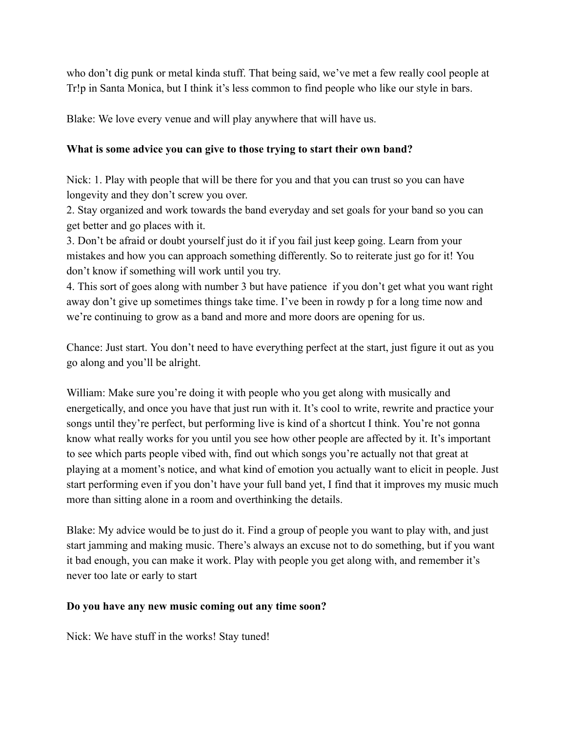who don't dig punk or metal kinda stuff. That being said, we've met a few really cool people at Tr!p in Santa Monica, but I think it's less common to find people who like our style in bars.

Blake: We love every venue and will play anywhere that will have us.

## **What is some advice you can give to those trying to start their own band?**

Nick: 1. Play with people that will be there for you and that you can trust so you can have longevity and they don't screw you over.

2. Stay organized and work towards the band everyday and set goals for your band so you can get better and go places with it.

3. Don't be afraid or doubt yourself just do it if you fail just keep going. Learn from your mistakes and how you can approach something differently. So to reiterate just go for it! You don't know if something will work until you try.

4. This sort of goes along with number 3 but have patience if you don't get what you want right away don't give up sometimes things take time. I've been in rowdy p for a long time now and we're continuing to grow as a band and more and more doors are opening for us.

Chance: Just start. You don't need to have everything perfect at the start, just figure it out as you go along and you'll be alright.

William: Make sure you're doing it with people who you get along with musically and energetically, and once you have that just run with it. It's cool to write, rewrite and practice your songs until they're perfect, but performing live is kind of a shortcut I think. You're not gonna know what really works for you until you see how other people are affected by it. It's important to see which parts people vibed with, find out which songs you're actually not that great at playing at a moment's notice, and what kind of emotion you actually want to elicit in people. Just start performing even if you don't have your full band yet, I find that it improves my music much more than sitting alone in a room and overthinking the details.

Blake: My advice would be to just do it. Find a group of people you want to play with, and just start jamming and making music. There's always an excuse not to do something, but if you want it bad enough, you can make it work. Play with people you get along with, and remember it's never too late or early to start

### **Do you have any new music coming out any time soon?**

Nick: We have stuff in the works! Stay tuned!